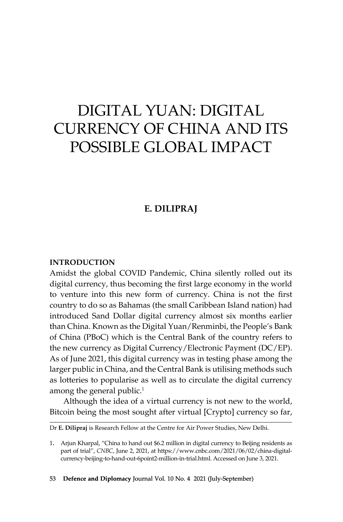# DIGITAL YUAN: DIGITAL CURRENCY OF CHINA AND ITS POSSIBLE GLOBAL IMPACT

# **E. Dilipraj**

#### **Introduction**

Amidst the global COVID Pandemic, China silently rolled out its digital currency, thus becoming the first large economy in the world to venture into this new form of currency. China is not the first country to do so as Bahamas (the small Caribbean Island nation) had introduced Sand Dollar digital currency almost six months earlier than China. Known as the Digital Yuan/Renminbi, the People's Bank of China (PBoC) which is the Central Bank of the country refers to the new currency as Digital Currency/Electronic Payment (DC/EP). As of June 2021, this digital currency was in testing phase among the larger public in China, and the Central Bank is utilising methods such as lotteries to popularise as well as to circulate the digital currency among the general public.<sup>1</sup>

Although the idea of a virtual currency is not new to the world, Bitcoin being the most sought after virtual [Crypto] currency so far,

Dr **E. Dilipraj** is Research Fellow at the Centre for Air Power Studies, New Delhi.

<sup>1.</sup> Arjun Kharpal, "China to hand out \$6.2 million in digital currency to Beijing residents as part of trial", *CNBC*, June 2, 2021, at https://www.cnbc.com/2021/06/02/china-digitalcurrency-beijing-to-hand-out-6point2-million-in-trial.html. Accessed on June 3, 2021.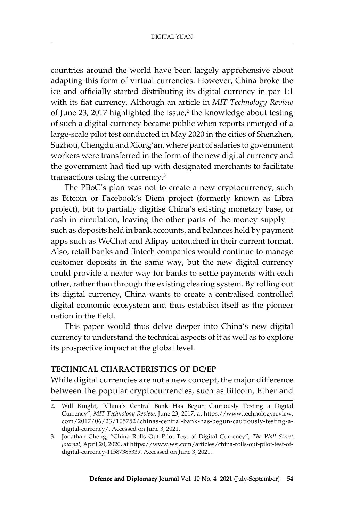countries around the world have been largely apprehensive about adapting this form of virtual currencies. However, China broke the ice and officially started distributing its digital currency in par 1:1 with its fiat currency. Although an article in *MIT Technology Review* of June 23, 2017 highlighted the issue, $2$  the knowledge about testing of such a digital currency became public when reports emerged of a large-scale pilot test conducted in May 2020 in the cities of Shenzhen, Suzhou, Chengdu and Xiong'an, where part of salaries to government workers were transferred in the form of the new digital currency and the government had tied up with designated merchants to facilitate transactions using the currency.3

The PBoC's plan was not to create a new cryptocurrency, such as Bitcoin or Facebook's Diem project (formerly known as Libra project), but to partially digitise China's existing monetary base, or cash in circulation, leaving the other parts of the money supply such as deposits held in bank accounts, and balances held by payment apps such as WeChat and Alipay untouched in their current format. Also, retail banks and fintech companies would continue to manage customer deposits in the same way, but the new digital currency could provide a neater way for banks to settle payments with each other, rather than through the existing clearing system. By rolling out its digital currency, China wants to create a centralised controlled digital economic ecosystem and thus establish itself as the pioneer nation in the field.

This paper would thus delve deeper into China's new digital currency to understand the technical aspects of it as well as to explore its prospective impact at the global level.

### **Technical Characteristics of DC/EP**

While digital currencies are not a new concept, the major difference between the popular cryptocurrencies, such as Bitcoin, Ether and

<sup>2.</sup> Will Knight, "China's Central Bank Has Begun Cautiously Testing a Digital Currency", *MIT Technology Review*, June 23, 2017, at https://www.technologyreview. com/2017/06/23/105752/chinas-central-bank-has-begun-cautiously-testing-adigital-currency/. Accessed on June 3, 2021.

<sup>3.</sup> Jonathan Cheng, "China Rolls Out Pilot Test of Digital Currency", *The Wall Street Journal*, April 20, 2020, at https://www.wsj.com/articles/china-rolls-out-pilot-test-ofdigital-currency-11587385339. Accessed on June 3, 2021.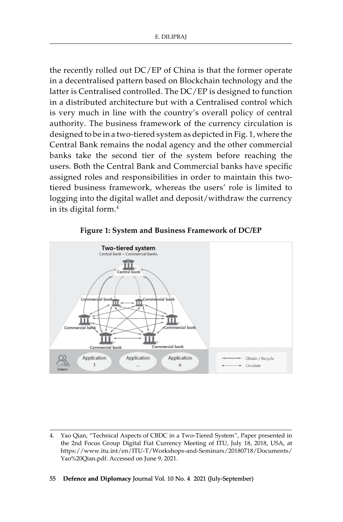the recently rolled out DC/EP of China is that the former operate in a decentralised pattern based on Blockchain technology and the latter is Centralised controlled. The DC/EP is designed to function in a distributed architecture but with a Centralised control which is very much in line with the country's overall policy of central authority. The business framework of the currency circulation is designed to be in a two-tiered system as depicted in Fig. 1, where the Central Bank remains the nodal agency and the other commercial banks take the second tier of the system before reaching the users. Both the Central Bank and Commercial banks have specific assigned roles and responsibilities in order to maintain this twotiered business framework, whereas the users' role is limited to logging into the digital wallet and deposit/withdraw the currency in its digital form.<sup>4</sup>



**Figure 1: System and Business Framework of DC/EP**

<sup>4.</sup> Yao Qian, "Technical Aspects of CBDC in a Two-Tiered System", Paper presented in the 2nd Focus Group Digital Fiat Currency Meeting of ITU, July 18, 2018, USA, at https://www.itu.int/en/ITU-T/Workshops-and-Seminars/20180718/Documents/ Yao%20Qian.pdf. Accessed on June 9, 2021.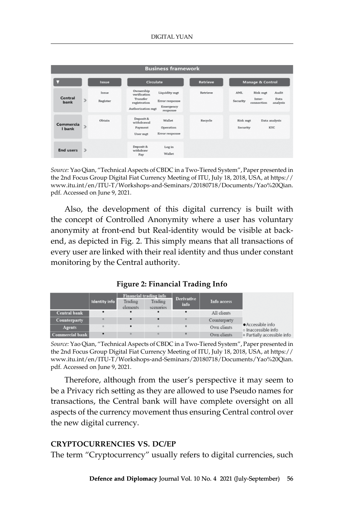| <b>Business framework</b> |               |                   |                                                                                                                                        |                 |                                                                                  |  |  |  |  |  |  |
|---------------------------|---------------|-------------------|----------------------------------------------------------------------------------------------------------------------------------------|-----------------|----------------------------------------------------------------------------------|--|--|--|--|--|--|
|                           | Issue         |                   | Circulate                                                                                                                              | <b>Retrieve</b> | <b>Manage &amp; Control</b>                                                      |  |  |  |  |  |  |
| Central<br>bank           | $\rightarrow$ | Issue<br>Register | Ownership<br>Liquidity mgt<br>verification<br>Transfer<br>Error response<br>registration<br>Emergency<br>Authorization mgt<br>response | Retrieve        | AML<br>Risk mgt<br>Audit<br>Data<br>Inter-<br>Security<br>analysis<br>connection |  |  |  |  |  |  |
| Commercia<br>I bank       | s.            | Obtain            | Deposit &<br>Wallet<br>withdrawal<br>Payment<br>Operation<br>Error response<br>User mgt                                                | Recycle         | Data analysis<br>Risk mgt<br><b>KYC</b><br>Security                              |  |  |  |  |  |  |
| <b>End users</b>          | $\rightarrow$ |                   | Deposit &<br>Log in<br>withdraw<br>Wallet<br>Pay                                                                                       |                 |                                                                                  |  |  |  |  |  |  |

*Source:* Yao Qian, "Technical Aspects of CBDC in a Two-Tiered System", Paper presented in the 2nd Focus Group Digital Fiat Currency Meeting of ITU, July 18, 2018, USA, at https:// www.itu.int/en/ITU-T/Workshops-and-Seminars/20180718/Documents/Yao%20Qian. pdf. Accessed on June 9, 2021.

Also, the development of this digital currency is built with the concept of Controlled Anonymity where a user has voluntary anonymity at front-end but Real-identity would be visible at backend, as depicted in Fig. 2. This simply means that all transactions of every user are linked with their real identity and thus under constant monitoring by the Central authority.

**Figure 2: Financial Trading Info**

|                     |                      | <b>Financial trading info</b> |                      | <b>Derivative</b> |              |                                          |  |
|---------------------|----------------------|-------------------------------|----------------------|-------------------|--------------|------------------------------------------|--|
|                     | <b>Identity info</b> | Trading<br>elements           | Trading<br>scenarios | info              | Info access  |                                          |  |
| <b>Central bank</b> |                      |                               |                      |                   | All clients  |                                          |  |
| <b>Counterparty</b> | $\circ$              |                               |                      | $\circ$           | Counterparty |                                          |  |
| <b>Agents</b>       | $\circ$              |                               |                      |                   | Own clients  | • Accessible info<br>o Inaccessible info |  |
| Commercial bank     |                      | $\circ$                       | $\circ$              |                   | Own clients  | · Partially accessible info              |  |

*Source:* Yao Qian, "Technical Aspects of CBDC in a Two-Tiered System", Paper presented in the 2nd Focus Group Digital Fiat Currency Meeting of ITU, July 18, 2018, USA, at https:// www.itu.int/en/ITU-T/Workshops-and-Seminars/20180718/Documents/Yao%20Qian. pdf. Accessed on June 9, 2021.

Therefore, although from the user's perspective it may seem to be a Privacy rich setting as they are allowed to use Pseudo names for transactions, the Central bank will have complete oversight on all aspects of the currency movement thus ensuring Central control over the new digital currency.

#### **Cryptocurrencies vs. DC/EP**

The term "Cryptocurrency" usually refers to digital currencies, such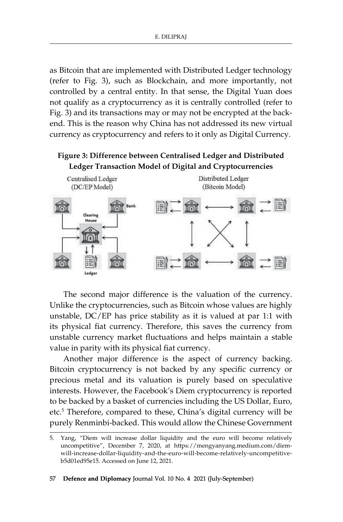as Bitcoin that are implemented with Distributed Ledger technology (refer to Fig. 3), such as Blockchain, and more importantly, not controlled by a central entity. In that sense, the Digital Yuan does not qualify as a cryptocurrency as it is centrally controlled (refer to Fig. 3) and its transactions may or may not be encrypted at the backend. This is the reason why China has not addressed its new virtual currency as cryptocurrency and refers to it only as Digital Currency.

## **Figure 3: Difference between Centralised Ledger and Distributed Ledger Transaction Model of Digital and Cryptocurrencies**



The second major difference is the valuation of the currency. Unlike the cryptocurrencies, such as Bitcoin whose values are highly unstable, DC/EP has price stability as it is valued at par 1:1 with its physical fiat currency. Therefore, this saves the currency from unstable currency market fluctuations and helps maintain a stable value in parity with its physical fiat currency.

Another major difference is the aspect of currency backing. Bitcoin cryptocurrency is not backed by any specific currency or precious metal and its valuation is purely based on speculative interests. However, the Facebook's Diem cryptocurrency is reported to be backed by a basket of currencies including the US Dollar, Euro, etc.5 Therefore, compared to these, China's digital currency will be purely Renminbi-backed. This would allow the Chinese Government

<sup>5.</sup> Yang, "Diem will increase dollar liquidity and the euro will become relatively uncompetitive", December 7, 2020, at https://mengyanyang.medium.com/diemwill-increase-dollar-liquidity-and-the-euro-will-become-relatively-uncompetitiveb5d01ed95e15. Accessed on June 12, 2021.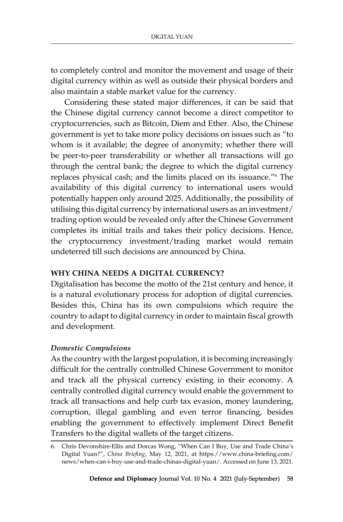to completely control and monitor the movement and usage of their digital currency within as well as outside their physical borders and also maintain a stable market value for the currency.

Considering these stated major differences, it can be said that the Chinese digital currency cannot become a direct competitor to cryptocurrencies, such as Bitcoin, Diem and Ether. Also, the Chinese government is yet to take more policy decisions on issues such as "to whom is it available; the degree of anonymity; whether there will be peer-to-peer transferability or whether all transactions will go through the central bank; the degree to which the digital currency replaces physical cash; and the limits placed on its issuance."<sup>6</sup> The availability of this digital currency to international users would potentially happen only around 2025. Additionally, the possibility of utilising this digital currency by international users as an investment/ trading option would be revealed only after the Chinese Government completes its initial trails and takes their policy decisions. Hence, the cryptocurrency investment/trading market would remain undeterred till such decisions are announced by China.

## **Why China Needs a Digital Currency?**

Digitalisation has become the motto of the 21st century and hence, it is a natural evolutionary process for adoption of digital currencies. Besides this, China has its own compulsions which require the country to adapt to digital currency in order to maintain fiscal growth and development.

## *Domestic Compulsions*

As the country with the largest population, it is becoming increasingly difficult for the centrally controlled Chinese Government to monitor and track all the physical currency existing in their economy. A centrally controlled digital currency would enable the government to track all transactions and help curb tax evasion, money laundering, corruption, illegal gambling and even terror financing, besides enabling the government to effectively implement Direct Benefit Transfers to the digital wallets of the target citizens.

<sup>6.</sup> Chris Devonshire-Ellis and Dorcas Wong, "When Can I Buy, Use and Trade China's Digital Yuan?", *China Briefing*, May 12, 2021, at https://www.china-briefing.com/ news/when-can-i-buy-use-and-trade-chinas-digital-yuan/. Accessed on June 13, 2021.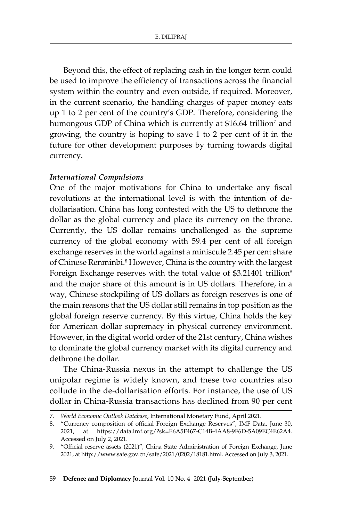Beyond this, the effect of replacing cash in the longer term could be used to improve the efficiency of transactions across the financial system within the country and even outside, if required. Moreover, in the current scenario, the handling charges of paper money eats up 1 to 2 per cent of the country's GDP. Therefore, considering the humongous GDP of China which is currently at \$16.64 trillion<sup>7</sup> and growing, the country is hoping to save 1 to 2 per cent of it in the future for other development purposes by turning towards digital currency.

#### *International Compulsions*

One of the major motivations for China to undertake any fiscal revolutions at the international level is with the intention of dedollarisation. China has long contested with the US to dethrone the dollar as the global currency and place its currency on the throne. Currently, the US dollar remains unchallenged as the supreme currency of the global economy with 59.4 per cent of all foreign exchange reserves in the world against a miniscule 2.45 per cent share of Chinese Renminbi.<sup>8</sup> However, China is the country with the largest Foreign Exchange reserves with the total value of \$3.21401 trillion<sup>9</sup> and the major share of this amount is in US dollars. Therefore, in a way, Chinese stockpiling of US dollars as foreign reserves is one of the main reasons that the US dollar still remains in top position as the global foreign reserve currency. By this virtue, China holds the key for American dollar supremacy in physical currency environment. However, in the digital world order of the 21st century, China wishes to dominate the global currency market with its digital currency and dethrone the dollar.

The China-Russia nexus in the attempt to challenge the US unipolar regime is widely known, and these two countries also collude in the de-dollarisation efforts. For instance, the use of US dollar in China-Russia transactions has declined from 90 per cent

<sup>7</sup>*. World Economic Outlook Database*, International Monetary Fund, April 2021.

<sup>8.</sup> "Currency composition of official Foreign Exchange Reserves", IMF Data, June 30, 2021, at https://data.imf.org/?sk=E6A5F467-C14B-4AA8-9F6D-5A09EC4E62A4. Accessed on July 2, 2021.

<sup>9.</sup> "Official reserve assets (2021)", China State Administration of Foreign Exchange, June 2021, at http://www.safe.gov.cn/safe/2021/0202/18181.html. Accessed on July 3, 2021.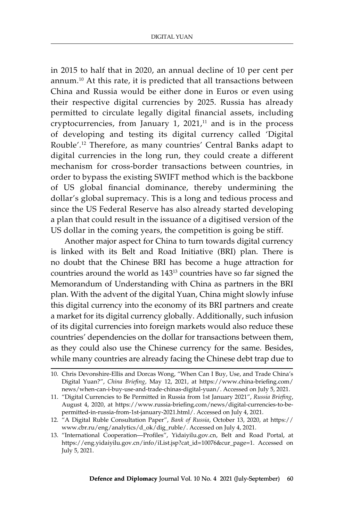in 2015 to half that in 2020, an annual decline of 10 per cent per annum.10 At this rate, it is predicted that all transactions between China and Russia would be either done in Euros or even using their respective digital currencies by 2025. Russia has already permitted to circulate legally digital financial assets, including cryptocurrencies, from January 1,  $2021$ ,<sup>11</sup> and is in the process of developing and testing its digital currency called 'Digital Rouble'.<sup>12</sup> Therefore, as many countries' Central Banks adapt to digital currencies in the long run, they could create a different mechanism for cross-border transactions between countries, in order to bypass the existing SWIFT method which is the backbone of US global financial dominance, thereby undermining the dollar's global supremacy. This is a long and tedious process and since the US Federal Reserve has also already started developing a plan that could result in the issuance of a digitised version of the US dollar in the coming years, the competition is going be stiff.

Another major aspect for China to turn towards digital currency is linked with its Belt and Road Initiative (BRI) plan. There is no doubt that the Chinese BRI has become a huge attraction for countries around the world as 143<sup>13</sup> countries have so far signed the Memorandum of Understanding with China as partners in the BRI plan. With the advent of the digital Yuan, China might slowly infuse this digital currency into the economy of its BRI partners and create a market for its digital currency globally. Additionally, such infusion of its digital currencies into foreign markets would also reduce these countries' dependencies on the dollar for transactions between them, as they could also use the Chinese currency for the same. Besides, while many countries are already facing the Chinese debt trap due to

<sup>10.</sup> Chris Devonshire-Ellis and Dorcas Wong, "When Can I Buy, Use, and Trade China's Digital Yuan?", *China Briefing*, May 12, 2021, at https://www.china-briefing.com/ news/when-can-i-buy-use-and-trade-chinas-digital-yuan/. Accessed on July 5, 2021.

<sup>11.</sup> "Digital Currencies to Be Permitted in Russia from 1st January 2021", *Russia Briefing*, August 4, 2020, at https://www.russia-briefing.com/news/digital-currencies-to-bepermitted-in-russia-from-1st-january-2021.html/. Accessed on July 4, 2021.

<sup>12.</sup> "A Digital Ruble Consultation Paper", *Bank of Russia*, October 13, 2020, at https:// www.cbr.ru/eng/analytics/d\_ok/dig\_ruble/. Accessed on July 4, 2021.

<sup>13.</sup> "International Cooperation—Profiles", Yidaiyilu.gov.cn, Belt and Road Portal, at https://eng.yidaiyilu.gov.cn/info/iList.jsp?cat\_id=10076&cur\_page=1. Accessed on July 5, 2021.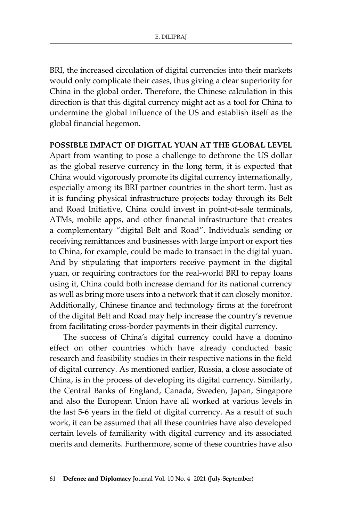BRI, the increased circulation of digital currencies into their markets would only complicate their cases, thus giving a clear superiority for China in the global order. Therefore, the Chinese calculation in this direction is that this digital currency might act as a tool for China to undermine the global influence of the US and establish itself as the global financial hegemon.

### **Possible Impact of Digital Yuan at the Global Level**

Apart from wanting to pose a challenge to dethrone the US dollar as the global reserve currency in the long term, it is expected that China would vigorously promote its digital currency internationally, especially among its BRI partner countries in the short term. Just as it is funding physical infrastructure projects today through its Belt and Road Initiative, China could invest in point-of-sale terminals, ATMs, mobile apps, and other financial infrastructure that creates a complementary "digital Belt and Road". Individuals sending or receiving remittances and businesses with large import or export ties to China, for example, could be made to transact in the digital yuan. And by stipulating that importers receive payment in the digital yuan, or requiring contractors for the real-world BRI to repay loans using it, China could both increase demand for its national currency as well as bring more users into a network that it can closely monitor. Additionally, Chinese finance and technology firms at the forefront of the digital Belt and Road may help increase the country's revenue from facilitating cross-border payments in their digital currency.

The success of China's digital currency could have a domino effect on other countries which have already conducted basic research and feasibility studies in their respective nations in the field of digital currency. As mentioned earlier, Russia, a close associate of China, is in the process of developing its digital currency. Similarly, the Central Banks of England, Canada, Sweden, Japan, Singapore and also the European Union have all worked at various levels in the last 5-6 years in the field of digital currency. As a result of such work, it can be assumed that all these countries have also developed certain levels of familiarity with digital currency and its associated merits and demerits. Furthermore, some of these countries have also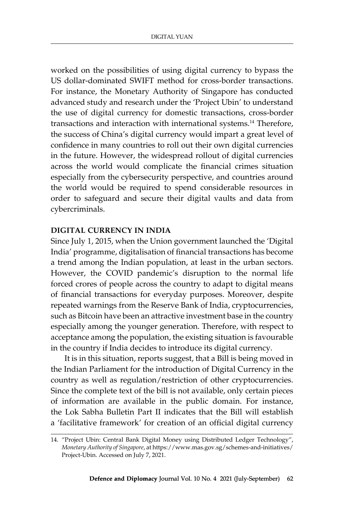worked on the possibilities of using digital currency to bypass the US dollar-dominated SWIFT method for cross-border transactions. For instance, the Monetary Authority of Singapore has conducted advanced study and research under the 'Project Ubin' to understand the use of digital currency for domestic transactions, cross-border transactions and interaction with international systems.<sup>14</sup> Therefore, the success of China's digital currency would impart a great level of confidence in many countries to roll out their own digital currencies in the future. However, the widespread rollout of digital currencies across the world would complicate the financial crimes situation especially from the cybersecurity perspective, and countries around the world would be required to spend considerable resources in order to safeguard and secure their digital vaults and data from cybercriminals.

## **Digital Currency in India**

Since July 1, 2015, when the Union government launched the 'Digital India' programme, digitalisation of financial transactions has become a trend among the Indian population, at least in the urban sectors. However, the COVID pandemic's disruption to the normal life forced crores of people across the country to adapt to digital means of financial transactions for everyday purposes. Moreover, despite repeated warnings from the Reserve Bank of India, cryptocurrencies, such as Bitcoin have been an attractive investment base in the country especially among the younger generation. Therefore, with respect to acceptance among the population, the existing situation is favourable in the country if India decides to introduce its digital currency.

It is in this situation, reports suggest, that a Bill is being moved in the Indian Parliament for the introduction of Digital Currency in the country as well as regulation/restriction of other cryptocurrencies. Since the complete text of the bill is not available, only certain pieces of information are available in the public domain. For instance, the Lok Sabha Bulletin Part II indicates that the Bill will establish a 'facilitative framework' for creation of an official digital currency

<sup>14.</sup> "Project Ubin: Central Bank Digital Money using Distributed Ledger Technology", *Monetary Authority of Singapore*, at https://www.mas.gov.sg/schemes-and-initiatives/ Project-Ubin. Accessed on July 7, 2021.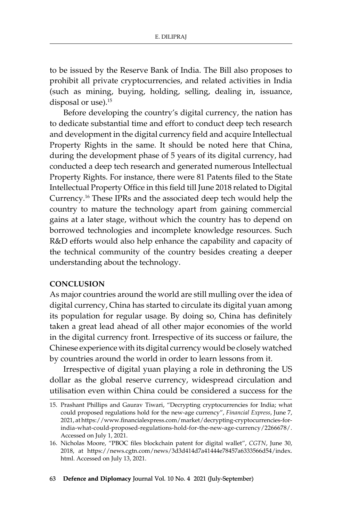to be issued by the Reserve Bank of India. The Bill also proposes to prohibit all private cryptocurrencies, and related activities in India (such as mining, buying, holding, selling, dealing in, issuance, disposal or use).<sup>15</sup>

Before developing the country's digital currency, the nation has to dedicate substantial time and effort to conduct deep tech research and development in the digital currency field and acquire Intellectual Property Rights in the same. It should be noted here that China, during the development phase of 5 years of its digital currency, had conducted a deep tech research and generated numerous Intellectual Property Rights. For instance, there were 81 Patents filed to the State Intellectual Property Office in this field till June 2018 related to Digital Currency.16 These IPRs and the associated deep tech would help the country to mature the technology apart from gaining commercial gains at a later stage, without which the country has to depend on borrowed technologies and incomplete knowledge resources. Such R&D efforts would also help enhance the capability and capacity of the technical community of the country besides creating a deeper understanding about the technology.

#### **Conclusion**

As major countries around the world are still mulling over the idea of digital currency, China has started to circulate its digital yuan among its population for regular usage. By doing so, China has definitely taken a great lead ahead of all other major economies of the world in the digital currency front. Irrespective of its success or failure, the Chinese experience with its digital currency would be closely watched by countries around the world in order to learn lessons from it.

Irrespective of digital yuan playing a role in dethroning the US dollar as the global reserve currency, widespread circulation and utilisation even within China could be considered a success for the

<sup>15.</sup> Prashant Phillips and Gaurav Tiwari, "Decrypting cryptocurrencies for India; what could proposed regulations hold for the new-age currency", *Financial Express*, June 7, 2021, at https://www.financialexpress.com/market/decrypting-cryptocurrencies-forindia-what-could-proposed-regulations-hold-for-the-new-age-currency/2266678/. Accessed on July 1, 2021.

<sup>16.</sup> Nicholas Moore, "PBOC files blockchain patent for digital wallet", *CGTN*, June 30, 2018, at https://news.cgtn.com/news/3d3d414d7a41444e78457a6333566d54/index. html. Accessed on July 13, 2021.